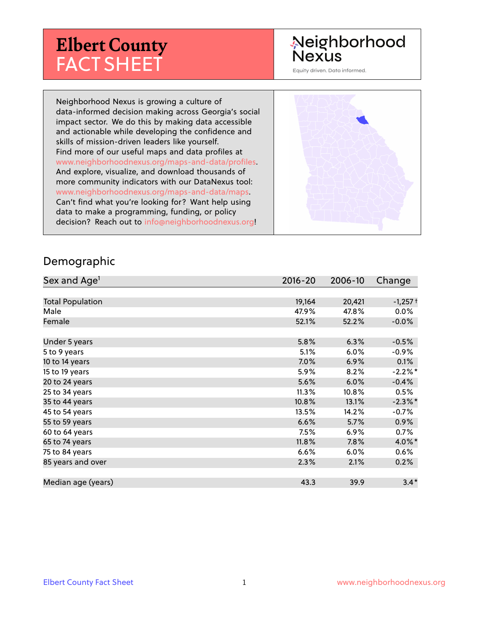# **Elbert County** FACT SHEET

## Neighborhood **Nexus**

Equity driven. Data informed.

Neighborhood Nexus is growing a culture of data-informed decision making across Georgia's social impact sector. We do this by making data accessible and actionable while developing the confidence and skills of mission-driven leaders like yourself. Find more of our useful maps and data profiles at www.neighborhoodnexus.org/maps-and-data/profiles. And explore, visualize, and download thousands of more community indicators with our DataNexus tool: www.neighborhoodnexus.org/maps-and-data/maps. Can't find what you're looking for? Want help using data to make a programming, funding, or policy decision? Reach out to [info@neighborhoodnexus.org!](mailto:info@neighborhoodnexus.org)



#### Demographic

| Sex and Age <sup>1</sup> | $2016 - 20$ | 2006-10 | Change     |
|--------------------------|-------------|---------|------------|
|                          |             |         |            |
| <b>Total Population</b>  | 19,164      | 20,421  | $-1,257+$  |
| Male                     | 47.9%       | 47.8%   | $0.0\%$    |
| Female                   | 52.1%       | 52.2%   | $-0.0\%$   |
|                          |             |         |            |
| Under 5 years            | 5.8%        | 6.3%    | $-0.5%$    |
| 5 to 9 years             | 5.1%        | 6.0%    | $-0.9%$    |
| 10 to 14 years           | 7.0%        | 6.9%    | 0.1%       |
| 15 to 19 years           | 5.9%        | 8.2%    | $-2.2%$ *  |
| 20 to 24 years           | 5.6%        | 6.0%    | $-0.4%$    |
| 25 to 34 years           | 11.3%       | 10.8%   | 0.5%       |
| 35 to 44 years           | 10.8%       | 13.1%   | $-2.3\%$ * |
| 45 to 54 years           | 13.5%       | 14.2%   | $-0.7\%$   |
| 55 to 59 years           | 6.6%        | 5.7%    | 0.9%       |
| 60 to 64 years           | 7.5%        | 6.9%    | 0.7%       |
| 65 to 74 years           | 11.8%       | 7.8%    | $4.0\%$ *  |
| 75 to 84 years           | 6.6%        | 6.0%    | $0.6\%$    |
| 85 years and over        | 2.3%        | 2.1%    | 0.2%       |
|                          |             |         |            |
| Median age (years)       | 43.3        | 39.9    | $3.4*$     |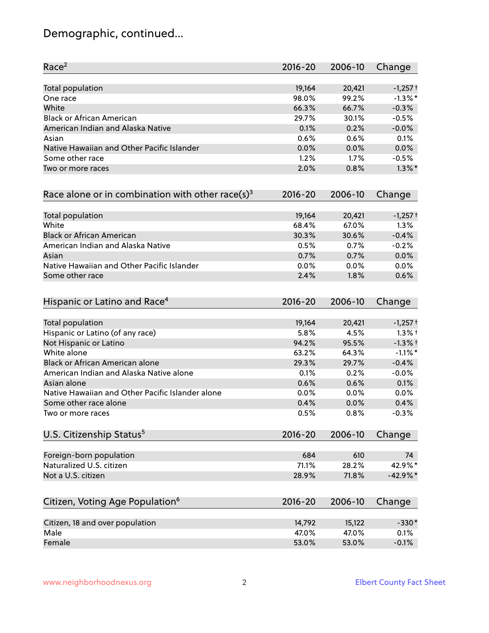## Demographic, continued...

| Race <sup>2</sup>                                            | $2016 - 20$ | 2006-10 | Change     |
|--------------------------------------------------------------|-------------|---------|------------|
| <b>Total population</b>                                      | 19,164      | 20,421  | $-1,257+$  |
| One race                                                     | 98.0%       | 99.2%   | $-1.3\%$ * |
| White                                                        | 66.3%       | 66.7%   | $-0.3%$    |
| <b>Black or African American</b>                             | 29.7%       | 30.1%   | $-0.5%$    |
| American Indian and Alaska Native                            | 0.1%        | 0.2%    | $-0.0%$    |
| Asian                                                        | 0.6%        | 0.6%    | 0.1%       |
| Native Hawaiian and Other Pacific Islander                   | 0.0%        | 0.0%    | 0.0%       |
| Some other race                                              | 1.2%        | 1.7%    | $-0.5%$    |
| Two or more races                                            | 2.0%        | 0.8%    | $1.3\%$ *  |
| Race alone or in combination with other race(s) <sup>3</sup> | $2016 - 20$ | 2006-10 | Change     |
| Total population                                             | 19,164      | 20,421  | $-1,257+$  |
| White                                                        | 68.4%       | 67.0%   | 1.3%       |
| <b>Black or African American</b>                             | 30.3%       | 30.6%   | $-0.4%$    |
| American Indian and Alaska Native                            | 0.5%        | 0.7%    | $-0.2%$    |
| Asian                                                        | 0.7%        | 0.7%    | 0.0%       |
| Native Hawaiian and Other Pacific Islander                   | 0.0%        | 0.0%    | 0.0%       |
| Some other race                                              | 2.4%        | 1.8%    | 0.6%       |
| Hispanic or Latino and Race <sup>4</sup>                     | $2016 - 20$ | 2006-10 | Change     |
| <b>Total population</b>                                      | 19,164      | 20,421  | $-1,257+$  |
| Hispanic or Latino (of any race)                             | 5.8%        | 4.5%    | $1.3%$ †   |
| Not Hispanic or Latino                                       | 94.2%       | 95.5%   | $-1.3%$ †  |
| White alone                                                  | 63.2%       | 64.3%   | $-1.1\%$ * |
| Black or African American alone                              | 29.3%       | 29.7%   | $-0.4%$    |
| American Indian and Alaska Native alone                      | 0.1%        | 0.2%    | $-0.0%$    |
| Asian alone                                                  | 0.6%        | 0.6%    | 0.1%       |
| Native Hawaiian and Other Pacific Islander alone             | 0.0%        | 0.0%    | 0.0%       |
| Some other race alone                                        | 0.4%        | 0.0%    | 0.4%       |
| Two or more races                                            | 0.5%        | 0.8%    | $-0.3%$    |
| U.S. Citizenship Status <sup>5</sup>                         | $2016 - 20$ | 2006-10 | Change     |
| Foreign-born population                                      | 684         | 610     | 74         |
| Naturalized U.S. citizen                                     | 71.1%       | 28.2%   | 42.9%*     |
| Not a U.S. citizen                                           | 28.9%       | 71.8%   | $-42.9%$ * |
| Citizen, Voting Age Population <sup>6</sup>                  | $2016 - 20$ | 2006-10 | Change     |
|                                                              |             |         |            |
| Citizen, 18 and over population                              | 14,792      | 15,122  | $-330*$    |
| Male                                                         | 47.0%       | 47.0%   | 0.1%       |
| Female                                                       | 53.0%       | 53.0%   | $-0.1%$    |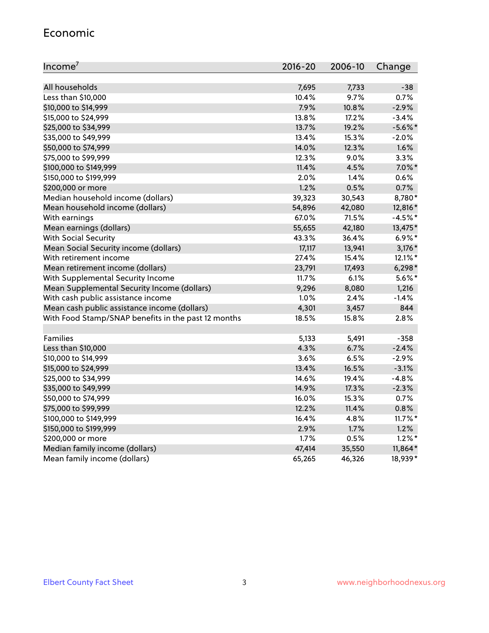#### Economic

| Income <sup>7</sup>                                 | $2016 - 20$ | 2006-10 | Change     |
|-----------------------------------------------------|-------------|---------|------------|
|                                                     |             |         |            |
| All households                                      | 7,695       | 7,733   | $-38$      |
| Less than \$10,000                                  | 10.4%       | 9.7%    | 0.7%       |
| \$10,000 to \$14,999                                | 7.9%        | 10.8%   | $-2.9%$    |
| \$15,000 to \$24,999                                | 13.8%       | 17.2%   | $-3.4%$    |
| \$25,000 to \$34,999                                | 13.7%       | 19.2%   | $-5.6\%$ * |
| \$35,000 to \$49,999                                | 13.4%       | 15.3%   | $-2.0%$    |
| \$50,000 to \$74,999                                | 14.0%       | 12.3%   | 1.6%       |
| \$75,000 to \$99,999                                | 12.3%       | 9.0%    | 3.3%       |
| \$100,000 to \$149,999                              | 11.4%       | 4.5%    | $7.0\%$ *  |
| \$150,000 to \$199,999                              | 2.0%        | 1.4%    | 0.6%       |
| \$200,000 or more                                   | 1.2%        | 0.5%    | 0.7%       |
| Median household income (dollars)                   | 39,323      | 30,543  | 8,780*     |
| Mean household income (dollars)                     | 54,896      | 42,080  | 12,816*    |
| With earnings                                       | 67.0%       | 71.5%   | $-4.5%$ *  |
| Mean earnings (dollars)                             | 55,655      | 42,180  | 13,475*    |
| <b>With Social Security</b>                         | 43.3%       | 36.4%   | $6.9\%$ *  |
| Mean Social Security income (dollars)               | 17,117      | 13,941  | $3,176*$   |
| With retirement income                              | 27.4%       | 15.4%   | 12.1%*     |
| Mean retirement income (dollars)                    | 23,791      | 17,493  | $6,298*$   |
| With Supplemental Security Income                   | 11.7%       | $6.1\%$ | $5.6\%$ *  |
| Mean Supplemental Security Income (dollars)         | 9,296       | 8,080   | 1,216      |
| With cash public assistance income                  | 1.0%        | 2.4%    | $-1.4%$    |
| Mean cash public assistance income (dollars)        | 4,301       | 3,457   | 844        |
| With Food Stamp/SNAP benefits in the past 12 months | 18.5%       | 15.8%   | 2.8%       |
|                                                     |             |         |            |
| Families                                            | 5,133       | 5,491   | $-358$     |
| Less than \$10,000                                  | 4.3%        | 6.7%    | $-2.4%$    |
| \$10,000 to \$14,999                                | 3.6%        | 6.5%    | $-2.9%$    |
| \$15,000 to \$24,999                                | 13.4%       | 16.5%   | $-3.1%$    |
| \$25,000 to \$34,999                                | 14.6%       | 19.4%   | $-4.8%$    |
| \$35,000 to \$49,999                                | 14.9%       | 17.3%   | $-2.3%$    |
| \$50,000 to \$74,999                                | 16.0%       | 15.3%   | 0.7%       |
| \$75,000 to \$99,999                                | 12.2%       | 11.4%   | 0.8%       |
| \$100,000 to \$149,999                              | 16.4%       | 4.8%    | $11.7\%$ * |
| \$150,000 to \$199,999                              | 2.9%        | 1.7%    | 1.2%       |
| \$200,000 or more                                   | 1.7%        | 0.5%    | $1.2\%$ *  |
| Median family income (dollars)                      | 47,414      | 35,550  | $11,864*$  |
| Mean family income (dollars)                        | 65,265      | 46,326  | 18,939*    |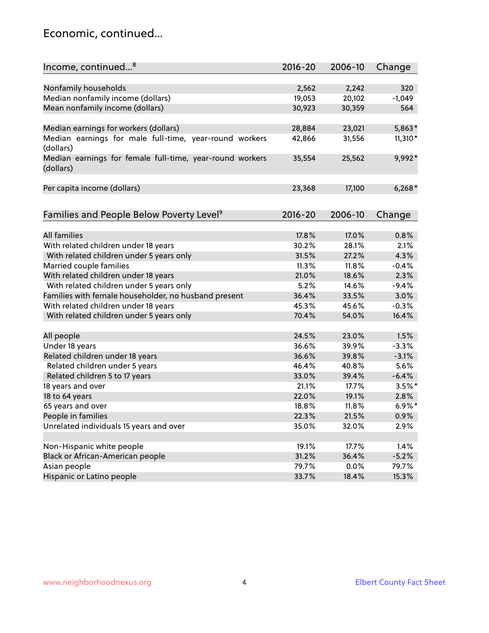#### Economic, continued...

| Income, continued <sup>8</sup>                                        | $2016 - 20$ | 2006-10 | Change   |
|-----------------------------------------------------------------------|-------------|---------|----------|
|                                                                       |             |         |          |
| Nonfamily households                                                  | 2,562       | 2,242   | 320      |
| Median nonfamily income (dollars)                                     | 19,053      | 20,102  | $-1,049$ |
| Mean nonfamily income (dollars)                                       | 30,923      | 30,359  | 564      |
|                                                                       |             |         |          |
| Median earnings for workers (dollars)                                 | 28,884      | 23,021  | 5,863*   |
| Median earnings for male full-time, year-round workers<br>(dollars)   | 42,866      | 31,556  | 11,310*  |
| Median earnings for female full-time, year-round workers<br>(dollars) | 35,554      | 25,562  | 9,992*   |
| Per capita income (dollars)                                           | 23,368      | 17,100  | $6,268*$ |
|                                                                       | $2016 - 20$ | 2006-10 |          |
| Families and People Below Poverty Level <sup>9</sup>                  |             |         | Change   |
| <b>All families</b>                                                   | 17.8%       | 17.0%   | 0.8%     |
| With related children under 18 years                                  | 30.2%       | 28.1%   | 2.1%     |
| With related children under 5 years only                              | 31.5%       | 27.2%   | 4.3%     |
| Married couple families                                               | 11.3%       | 11.8%   | $-0.4%$  |
| With related children under 18 years                                  | 21.0%       | 18.6%   | 2.3%     |
| With related children under 5 years only                              | 5.2%        | 14.6%   | $-9.4%$  |
| Families with female householder, no husband present                  | 36.4%       | 33.5%   | 3.0%     |
| With related children under 18 years                                  | 45.3%       | 45.6%   | $-0.3%$  |
| With related children under 5 years only                              | 70.4%       | 54.0%   | 16.4%    |
|                                                                       |             |         |          |
| All people                                                            | 24.5%       | 23.0%   | 1.5%     |
| Under 18 years                                                        | 36.6%       | 39.9%   | $-3.3%$  |
| Related children under 18 years                                       | 36.6%       | 39.8%   | $-3.1%$  |
| Related children under 5 years                                        | 46.4%       | 40.8%   | 5.6%     |
| Related children 5 to 17 years                                        | 33.0%       | 39.4%   | $-6.4%$  |
| 18 years and over                                                     | 21.1%       | 17.7%   | $3.5%$ * |
| 18 to 64 years                                                        | 22.0%       | 19.1%   | 2.8%     |
| 65 years and over                                                     | 18.8%       | 11.8%   | $6.9\%*$ |
| People in families                                                    | 22.3%       | 21.5%   | 0.9%     |
| Unrelated individuals 15 years and over                               | 35.0%       | 32.0%   | 2.9%     |
|                                                                       |             |         |          |
| Non-Hispanic white people                                             | 19.1%       | 17.7%   | 1.4%     |
| Black or African-American people                                      | 31.2%       | 36.4%   | $-5.2%$  |
| Asian people                                                          | 79.7%       | 0.0%    | 79.7%    |
| Hispanic or Latino people                                             | 33.7%       | 18.4%   | 15.3%    |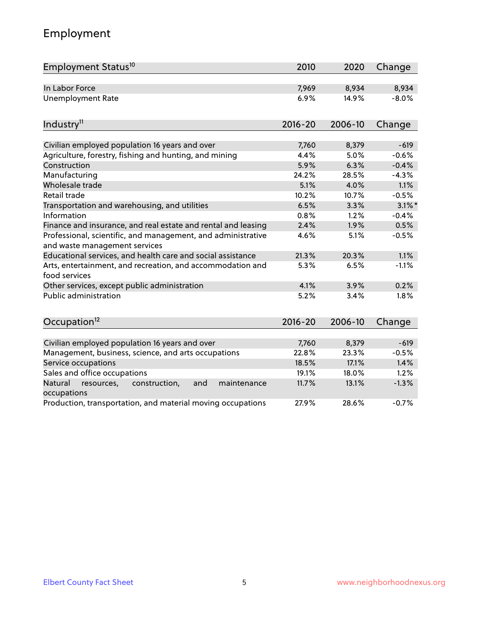## Employment

| Employment Status <sup>10</sup>                                                               | 2010          | 2020          | Change            |
|-----------------------------------------------------------------------------------------------|---------------|---------------|-------------------|
| In Labor Force                                                                                | 7,969         | 8,934         | 8,934             |
| <b>Unemployment Rate</b>                                                                      | 6.9%          | 14.9%         | $-8.0%$           |
|                                                                                               |               |               |                   |
| Industry <sup>11</sup>                                                                        | $2016 - 20$   | 2006-10       | Change            |
|                                                                                               |               |               |                   |
| Civilian employed population 16 years and over                                                | 7,760<br>4.4% | 8,379<br>5.0% | $-619$<br>$-0.6%$ |
| Agriculture, forestry, fishing and hunting, and mining                                        |               |               |                   |
| Construction                                                                                  | 5.9%          | 6.3%          | $-0.4%$           |
| Manufacturing                                                                                 | 24.2%         | 28.5%         | $-4.3%$           |
| Wholesale trade                                                                               | 5.1%          | 4.0%          | 1.1%              |
| Retail trade                                                                                  | 10.2%         | 10.7%         | $-0.5%$           |
| Transportation and warehousing, and utilities                                                 | 6.5%          | 3.3%          | $3.1\%$ *         |
| Information                                                                                   | 0.8%          | 1.2%          | $-0.4%$           |
| Finance and insurance, and real estate and rental and leasing                                 | 2.4%          | 1.9%          | 0.5%              |
| Professional, scientific, and management, and administrative<br>and waste management services | 4.6%          | 5.1%          | $-0.5%$           |
| Educational services, and health care and social assistance                                   | 21.3%         | 20.3%         | 1.1%              |
| Arts, entertainment, and recreation, and accommodation and<br>food services                   | 5.3%          | 6.5%          | $-1.1%$           |
| Other services, except public administration                                                  | 4.1%          | 3.9%          | 0.2%              |
| <b>Public administration</b>                                                                  | 5.2%          | 3.4%          | 1.8%              |
| Occupation <sup>12</sup>                                                                      | $2016 - 20$   | 2006-10       | Change            |
|                                                                                               |               |               |                   |
| Civilian employed population 16 years and over                                                | 7,760         | 8,379         | $-619$            |
| Management, business, science, and arts occupations                                           | 22.8%         | 23.3%         | $-0.5%$           |
| Service occupations                                                                           | 18.5%         | 17.1%         | 1.4%              |
| Sales and office occupations                                                                  | 19.1%         | 18.0%         | 1.2%              |
| Natural<br>construction,<br>and<br>maintenance<br>resources,<br>occupations                   | 11.7%         | 13.1%         | $-1.3%$           |
| Production, transportation, and material moving occupations                                   | 27.9%         | 28.6%         | $-0.7%$           |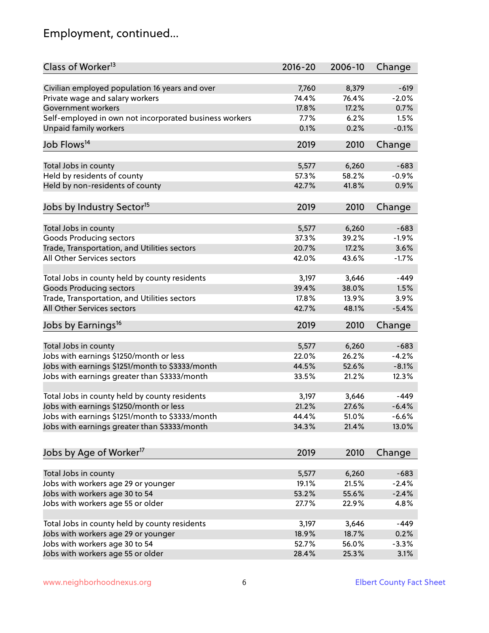## Employment, continued...

| Class of Worker <sup>13</sup>                          | $2016 - 20$ | 2006-10 | Change  |
|--------------------------------------------------------|-------------|---------|---------|
| Civilian employed population 16 years and over         | 7,760       | 8,379   | $-619$  |
| Private wage and salary workers                        | 74.4%       | 76.4%   | $-2.0%$ |
| Government workers                                     | 17.8%       | 17.2%   | 0.7%    |
| Self-employed in own not incorporated business workers | 7.7%        | 6.2%    | 1.5%    |
| Unpaid family workers                                  | 0.1%        | 0.2%    | $-0.1%$ |
|                                                        |             |         |         |
| Job Flows <sup>14</sup>                                | 2019        | 2010    | Change  |
|                                                        | 5,577       | 6,260   | $-683$  |
| Total Jobs in county<br>Held by residents of county    | 57.3%       | 58.2%   | $-0.9%$ |
|                                                        | 42.7%       | 41.8%   | 0.9%    |
| Held by non-residents of county                        |             |         |         |
| Jobs by Industry Sector <sup>15</sup>                  | 2019        | 2010    | Change  |
| Total Jobs in county                                   | 5,577       | 6,260   | $-683$  |
| Goods Producing sectors                                | 37.3%       | 39.2%   | $-1.9%$ |
| Trade, Transportation, and Utilities sectors           | 20.7%       | 17.2%   | 3.6%    |
| All Other Services sectors                             | 42.0%       | 43.6%   | $-1.7%$ |
|                                                        |             |         |         |
| Total Jobs in county held by county residents          | 3,197       | 3,646   | $-449$  |
| <b>Goods Producing sectors</b>                         | 39.4%       | 38.0%   | 1.5%    |
| Trade, Transportation, and Utilities sectors           | 17.8%       | 13.9%   | 3.9%    |
| All Other Services sectors                             | 42.7%       | 48.1%   | $-5.4%$ |
| Jobs by Earnings <sup>16</sup>                         | 2019        | 2010    | Change  |
|                                                        |             |         |         |
| Total Jobs in county                                   | 5,577       | 6,260   | $-683$  |
| Jobs with earnings \$1250/month or less                | 22.0%       | 26.2%   | $-4.2%$ |
| Jobs with earnings \$1251/month to \$3333/month        | 44.5%       | 52.6%   | $-8.1%$ |
| Jobs with earnings greater than \$3333/month           | 33.5%       | 21.2%   | 12.3%   |
| Total Jobs in county held by county residents          | 3,197       | 3,646   | $-449$  |
| Jobs with earnings \$1250/month or less                | 21.2%       | 27.6%   | $-6.4%$ |
| Jobs with earnings \$1251/month to \$3333/month        | 44.4%       | 51.0%   | $-6.6%$ |
| Jobs with earnings greater than \$3333/month           | 34.3%       | 21.4%   | 13.0%   |
|                                                        |             |         |         |
| Jobs by Age of Worker <sup>17</sup>                    | 2019        | 2010    | Change  |
| Total Jobs in county                                   | 5,577       | 6,260   | $-683$  |
| Jobs with workers age 29 or younger                    | 19.1%       | 21.5%   | $-2.4%$ |
| Jobs with workers age 30 to 54                         | 53.2%       | 55.6%   | $-2.4%$ |
| Jobs with workers age 55 or older                      | 27.7%       | 22.9%   | 4.8%    |
|                                                        |             |         |         |
| Total Jobs in county held by county residents          | 3,197       | 3,646   | -449    |
| Jobs with workers age 29 or younger                    | 18.9%       | 18.7%   | 0.2%    |
| Jobs with workers age 30 to 54                         | 52.7%       | 56.0%   | $-3.3%$ |
| Jobs with workers age 55 or older                      | 28.4%       | 25.3%   | 3.1%    |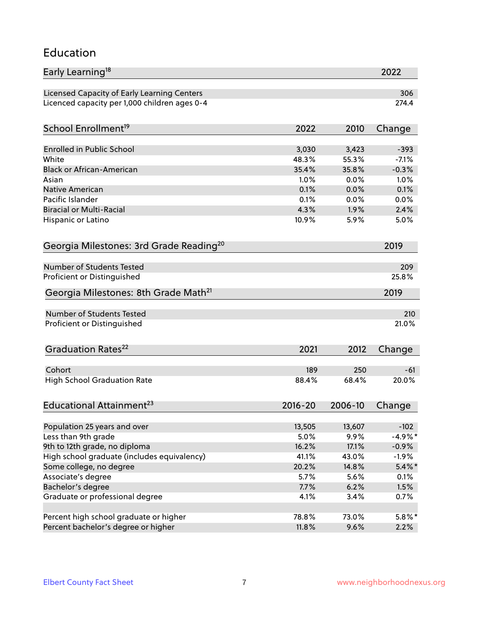#### Education

| Early Learning <sup>18</sup>                        |                |               | 2022            |
|-----------------------------------------------------|----------------|---------------|-----------------|
| Licensed Capacity of Early Learning Centers         |                |               | 306             |
| Licenced capacity per 1,000 children ages 0-4       |                |               | 274.4           |
| School Enrollment <sup>19</sup>                     | 2022           | 2010          | Change          |
|                                                     |                |               |                 |
| <b>Enrolled in Public School</b>                    | 3,030          | 3,423         | $-393$          |
| White<br><b>Black or African-American</b>           | 48.3%<br>35.4% | 55.3%         | $-7.1%$         |
| Asian                                               | 1.0%           | 35.8%<br>0.0% | $-0.3%$<br>1.0% |
| <b>Native American</b>                              | 0.1%           | 0.0%          | 0.1%            |
| Pacific Islander                                    | 0.1%           | 0.0%          | 0.0%            |
| <b>Biracial or Multi-Racial</b>                     | 4.3%           | 1.9%          | 2.4%            |
| Hispanic or Latino                                  | 10.9%          | 5.9%          | 5.0%            |
|                                                     |                |               |                 |
| Georgia Milestones: 3rd Grade Reading <sup>20</sup> |                |               | 2019            |
| Number of Students Tested                           |                |               | 209             |
| Proficient or Distinguished                         |                |               | 25.8%           |
| Georgia Milestones: 8th Grade Math <sup>21</sup>    |                |               | 2019            |
| <b>Number of Students Tested</b>                    |                |               | 210             |
| Proficient or Distinguished                         |                |               | 21.0%           |
| Graduation Rates <sup>22</sup>                      | 2021           | 2012          | Change          |
| Cohort                                              | 189            | 250           | $-61$           |
| <b>High School Graduation Rate</b>                  | 88.4%          | 68.4%         | 20.0%           |
| Educational Attainment <sup>23</sup>                | 2016-20        | 2006-10       | Change          |
|                                                     |                |               |                 |
| Population 25 years and over                        | 13,505         | 13,607        | $-102$          |
| Less than 9th grade                                 | 5.0%           | 9.9%          | $-4.9\%*$       |
| 9th to 12th grade, no diploma                       | 16.2%          | 17.1%         | $-0.9%$         |
| High school graduate (includes equivalency)         | 41.1%          | 43.0%         | $-1.9%$         |
| Some college, no degree                             | 20.2%          | 14.8%         | $5.4\%$ *       |
| Associate's degree                                  | 5.7%           | 5.6%          | 0.1%            |
| Bachelor's degree                                   | 7.7%           | 6.2%          | 1.5%            |
| Graduate or professional degree                     | 4.1%           | 3.4%          | 0.7%            |
| Percent high school graduate or higher              | 78.8%          | 73.0%         | $5.8\%$ *       |
| Percent bachelor's degree or higher                 | 11.8%          | 9.6%          | 2.2%            |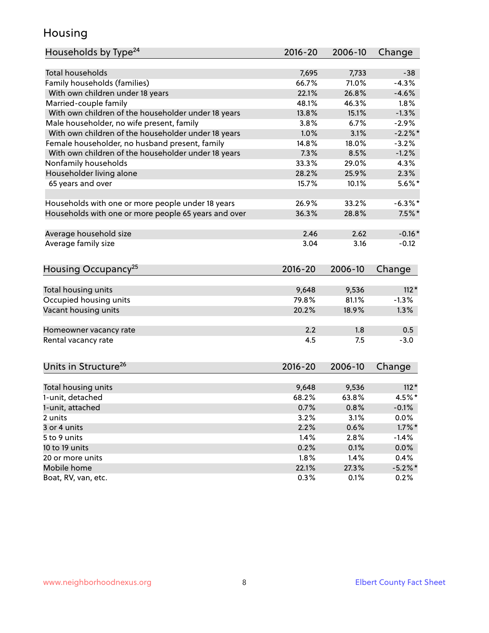#### Housing

| Households by Type <sup>24</sup>                     | 2016-20        | 2006-10        | Change            |
|------------------------------------------------------|----------------|----------------|-------------------|
|                                                      |                |                |                   |
| <b>Total households</b>                              | 7,695          | 7,733          | $-38$             |
| Family households (families)                         | 66.7%          | 71.0%          | $-4.3%$           |
| With own children under 18 years                     | 22.1%          | 26.8%          | $-4.6%$           |
| Married-couple family                                | 48.1%          | 46.3%          | 1.8%              |
| With own children of the householder under 18 years  | 13.8%          | 15.1%          | $-1.3%$           |
| Male householder, no wife present, family            | 3.8%           | 6.7%           | $-2.9%$           |
| With own children of the householder under 18 years  | 1.0%           | 3.1%           | $-2.2\%$ *        |
| Female householder, no husband present, family       | 14.8%          | 18.0%          | $-3.2%$           |
| With own children of the householder under 18 years  | 7.3%           | 8.5%           | $-1.2%$           |
| Nonfamily households                                 | 33.3%          | 29.0%          | 4.3%              |
| Householder living alone                             | 28.2%          | 25.9%          | 2.3%              |
| 65 years and over                                    | 15.7%          | 10.1%          | $5.6\%$ *         |
| Households with one or more people under 18 years    | 26.9%          | 33.2%          | $-6.3\%$ *        |
| Households with one or more people 65 years and over | 36.3%          | 28.8%          | $7.5\%$ *         |
|                                                      |                |                |                   |
| Average household size                               | 2.46           | 2.62           | $-0.16*$          |
| Average family size                                  | 3.04           | 3.16           | $-0.12$           |
| Housing Occupancy <sup>25</sup>                      | $2016 - 20$    | 2006-10        | Change            |
|                                                      |                |                |                   |
| Total housing units                                  | 9,648<br>79.8% | 9,536<br>81.1% | $112*$<br>$-1.3%$ |
| Occupied housing units                               |                |                |                   |
| Vacant housing units                                 | 20.2%          | 18.9%          | 1.3%              |
| Homeowner vacancy rate                               | 2.2            | 1.8            | 0.5               |
| Rental vacancy rate                                  | 4.5            | 7.5            | $-3.0$            |
| Units in Structure <sup>26</sup>                     | 2016-20        | 2006-10        | Change            |
|                                                      |                |                | $112*$            |
| Total housing units                                  | 9,648          | 9,536          | 4.5%*             |
| 1-unit, detached                                     | 68.2%          | 63.8%          |                   |
| 1-unit, attached                                     | 0.7%           | 0.8%           | $-0.1%$           |
| 2 units                                              | 3.2%           | 3.1%           | 0.0%              |
| 3 or 4 units                                         | 2.2%           | 0.6%           | $1.7\%$ *         |
| 5 to 9 units                                         | 1.4%           | 2.8%           | $-1.4%$           |
| 10 to 19 units                                       | 0.2%           | 0.1%           | 0.0%              |
| 20 or more units                                     | 1.8%           | 1.4%           | 0.4%              |
| Mobile home                                          | 22.1%          | 27.3%          | $-5.2\%$ *        |
| Boat, RV, van, etc.                                  | 0.3%           | 0.1%           | 0.2%              |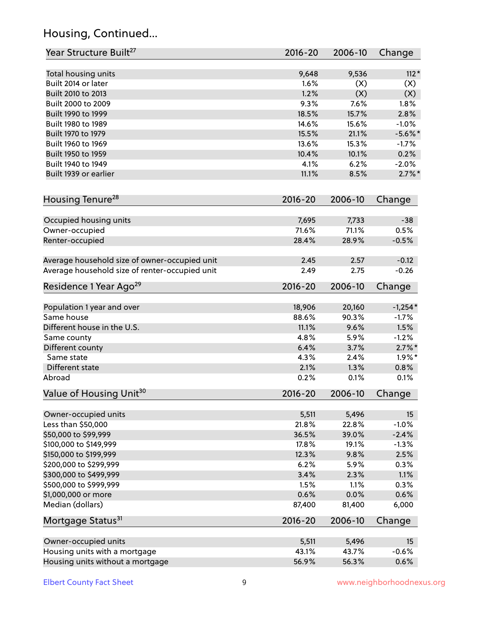## Housing, Continued...

| Year Structure Built <sup>27</sup>             | 2016-20        | 2006-10        | Change           |
|------------------------------------------------|----------------|----------------|------------------|
| Total housing units                            | 9,648          | 9,536          | $112*$           |
| Built 2014 or later                            | 1.6%           | (X)            | (X)              |
| Built 2010 to 2013                             | 1.2%           | (X)            | (X)              |
| Built 2000 to 2009                             | 9.3%           | 7.6%           | 1.8%             |
| Built 1990 to 1999                             | 18.5%          | 15.7%          | 2.8%             |
| Built 1980 to 1989                             | 14.6%          | 15.6%          | $-1.0%$          |
| Built 1970 to 1979                             | 15.5%          | 21.1%          | $-5.6\%$ *       |
| Built 1960 to 1969                             | 13.6%          | 15.3%          | $-1.7%$          |
| Built 1950 to 1959                             | 10.4%          | 10.1%          | 0.2%             |
| Built 1940 to 1949                             | 4.1%           | 6.2%           | $-2.0%$          |
| Built 1939 or earlier                          | 11.1%          | 8.5%           | $2.7\%$ *        |
| Housing Tenure <sup>28</sup>                   | $2016 - 20$    | 2006-10        | Change           |
|                                                |                |                |                  |
| Occupied housing units<br>Owner-occupied       | 7,695<br>71.6% | 7,733<br>71.1% | $-38$<br>0.5%    |
| Renter-occupied                                | 28.4%          | 28.9%          | $-0.5%$          |
|                                                |                |                |                  |
| Average household size of owner-occupied unit  | 2.45           | 2.57           | $-0.12$          |
| Average household size of renter-occupied unit | 2.49           | 2.75           | $-0.26$          |
| Residence 1 Year Ago <sup>29</sup>             | 2016-20        | 2006-10        | Change           |
| Population 1 year and over                     | 18,906         | 20,160         | $-1,254*$        |
| Same house                                     | 88.6%          | 90.3%          | $-1.7%$          |
| Different house in the U.S.                    | 11.1%          | 9.6%           | 1.5%             |
| Same county                                    | 4.8%           | 5.9%           | $-1.2%$          |
| Different county                               | 6.4%           | 3.7%           | $2.7\%$ *        |
| Same state                                     | 4.3%           | 2.4%           | $1.9\%$ *        |
| Different state                                | 2.1%           | 1.3%           | 0.8%             |
| Abroad                                         | 0.2%           | 0.1%           | 0.1%             |
| Value of Housing Unit <sup>30</sup>            | $2016 - 20$    | 2006-10        | Change           |
| Owner-occupied units                           | 5,511          | 5,496          | 15 <sup>15</sup> |
| Less than \$50,000                             | 21.8%          | 22.8%          | $-1.0%$          |
| \$50,000 to \$99,999                           | 36.5%          | 39.0%          | $-2.4%$          |
| \$100,000 to \$149,999                         | 17.8%          | 19.1%          | $-1.3%$          |
| \$150,000 to \$199,999                         | 12.3%          | 9.8%           | 2.5%             |
| \$200,000 to \$299,999                         | 6.2%           | 5.9%           | 0.3%             |
| \$300,000 to \$499,999                         | 3.4%           | 2.3%           | 1.1%             |
| \$500,000 to \$999,999                         | 1.5%           | 1.1%           | 0.3%             |
| \$1,000,000 or more                            | 0.6%           | 0.0%           | 0.6%             |
| Median (dollars)                               | 87,400         | 81,400         | 6,000            |
| Mortgage Status <sup>31</sup>                  | $2016 - 20$    | 2006-10        | Change           |
| Owner-occupied units                           | 5,511          | 5,496          | 15 <sub>15</sub> |
| Housing units with a mortgage                  | 43.1%          | 43.7%          | $-0.6%$          |
| Housing units without a mortgage               | 56.9%          | 56.3%          | 0.6%             |
|                                                |                |                |                  |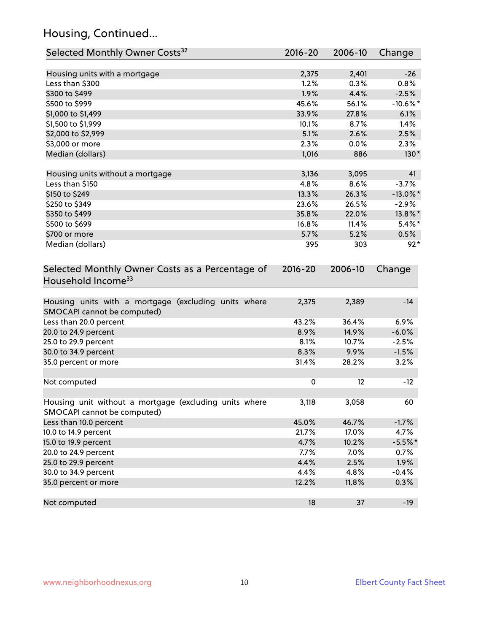## Housing, Continued...

| Selected Monthly Owner Costs <sup>32</sup>                                            | 2016-20     | 2006-10 | Change      |
|---------------------------------------------------------------------------------------|-------------|---------|-------------|
| Housing units with a mortgage                                                         | 2,375       | 2,401   | $-26$       |
| Less than \$300                                                                       | 1.2%        | 0.3%    | 0.8%        |
| \$300 to \$499                                                                        | 1.9%        | 4.4%    | $-2.5%$     |
| \$500 to \$999                                                                        | 45.6%       | 56.1%   | $-10.6\%$ * |
| \$1,000 to \$1,499                                                                    | 33.9%       | 27.8%   | 6.1%        |
| \$1,500 to \$1,999                                                                    | 10.1%       | 8.7%    | 1.4%        |
| \$2,000 to \$2,999                                                                    | 5.1%        | 2.6%    | 2.5%        |
| \$3,000 or more                                                                       | 2.3%        | 0.0%    | 2.3%        |
| Median (dollars)                                                                      | 1,016       | 886     | $130*$      |
|                                                                                       |             |         |             |
| Housing units without a mortgage                                                      | 3,136       | 3,095   | 41          |
| Less than \$150                                                                       | 4.8%        | 8.6%    | $-3.7%$     |
| \$150 to \$249                                                                        | 13.3%       | 26.3%   | $-13.0\%$ * |
| \$250 to \$349                                                                        | 23.6%       | 26.5%   | $-2.9%$     |
| \$350 to \$499                                                                        | 35.8%       | 22.0%   | 13.8%*      |
| \$500 to \$699                                                                        | 16.8%       | 11.4%   | $5.4\%$ *   |
| \$700 or more                                                                         | 5.7%        | 5.2%    | 0.5%        |
| Median (dollars)                                                                      | 395         | 303     | $92*$       |
| Selected Monthly Owner Costs as a Percentage of<br>Household Income <sup>33</sup>     | $2016 - 20$ | 2006-10 | Change      |
| Housing units with a mortgage (excluding units where<br>SMOCAPI cannot be computed)   | 2,375       | 2,389   | $-14$       |
| Less than 20.0 percent                                                                | 43.2%       | 36.4%   | 6.9%        |
| 20.0 to 24.9 percent                                                                  | 8.9%        | 14.9%   | $-6.0%$     |
| 25.0 to 29.9 percent                                                                  | 8.1%        | 10.7%   | $-2.5%$     |
| 30.0 to 34.9 percent                                                                  | 8.3%        | 9.9%    | $-1.5%$     |
| 35.0 percent or more                                                                  | 31.4%       | 28.2%   | 3.2%        |
| Not computed                                                                          | $\pmb{0}$   | 12      | $-12$       |
| Housing unit without a mortgage (excluding units where<br>SMOCAPI cannot be computed) | 3,118       | 3,058   | 60          |
| Less than 10.0 percent                                                                | 45.0%       | 46.7%   | $-1.7%$     |
| 10.0 to 14.9 percent                                                                  | 21.7%       | 17.0%   | 4.7%        |
| 15.0 to 19.9 percent                                                                  | 4.7%        | 10.2%   | $-5.5%$ *   |
| 20.0 to 24.9 percent                                                                  | 7.7%        | 7.0%    | 0.7%        |
| 25.0 to 29.9 percent                                                                  | 4.4%        | 2.5%    | 1.9%        |
| 30.0 to 34.9 percent                                                                  | 4.4%        | 4.8%    | $-0.4%$     |
| 35.0 percent or more                                                                  | 12.2%       | 11.8%   | 0.3%        |
| Not computed                                                                          | 18          | 37      | $-19$       |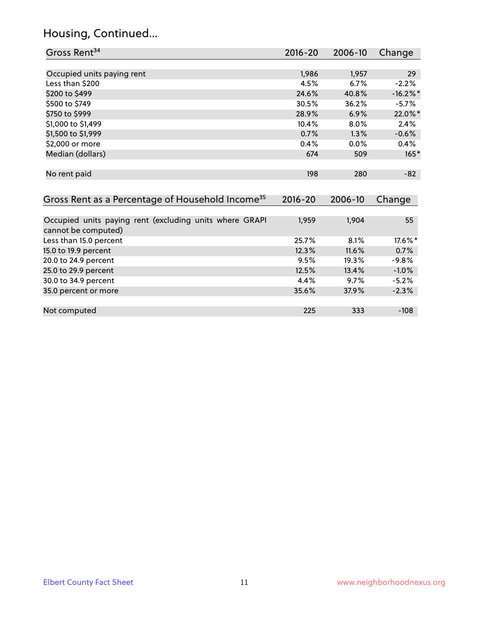## Housing, Continued...

| Gross Rent <sup>34</sup>                                     | $2016 - 20$ | 2006-10 | Change      |
|--------------------------------------------------------------|-------------|---------|-------------|
|                                                              |             |         |             |
| Occupied units paying rent                                   | 1,986       | 1,957   | 29          |
| Less than \$200                                              | 4.5%        | 6.7%    | $-2.2%$     |
| \$200 to \$499                                               | 24.6%       | 40.8%   | $-16.2\%$ * |
| \$500 to \$749                                               | 30.5%       | 36.2%   | $-5.7\%$    |
| \$750 to \$999                                               | 28.9%       | 6.9%    | 22.0%*      |
| \$1,000 to \$1,499                                           | 10.4%       | 8.0%    | 2.4%        |
| \$1,500 to \$1,999                                           | 0.7%        | 1.3%    | $-0.6%$     |
| \$2,000 or more                                              | 0.4%        | 0.0%    | 0.4%        |
| Median (dollars)                                             | 674         | 509     | $165*$      |
|                                                              |             |         |             |
| No rent paid                                                 | 198         | 280     | $-82$       |
|                                                              |             |         |             |
| Gross Rent as a Percentage of Household Income <sup>35</sup> | $2016 - 20$ | 2006-10 | Change      |
|                                                              |             |         |             |
| Occupied units paying rent (excluding units where GRAPI      | 1,959       | 1,904   | 55          |
| cannot be computed)                                          |             |         |             |
| Less than 15.0 percent                                       | 25.7%       | 8.1%    | 17.6%*      |
| 15.0 to 19.9 percent                                         | 12.3%       | 11.6%   | 0.7%        |
| 20.0 to 24.9 percent                                         | 9.5%        | 19.3%   | $-9.8%$     |
| 25.0 to 29.9 percent                                         | 12.5%       | 13.4%   | $-1.0%$     |
| 30.0 to 34.9 percent                                         | 4.4%        | 9.7%    | $-5.2%$     |
| 35.0 percent or more                                         | 35.6%       | 37.9%   | $-2.3%$     |
|                                                              |             |         |             |

| Not computed | 225 | 333 | -108 |
|--------------|-----|-----|------|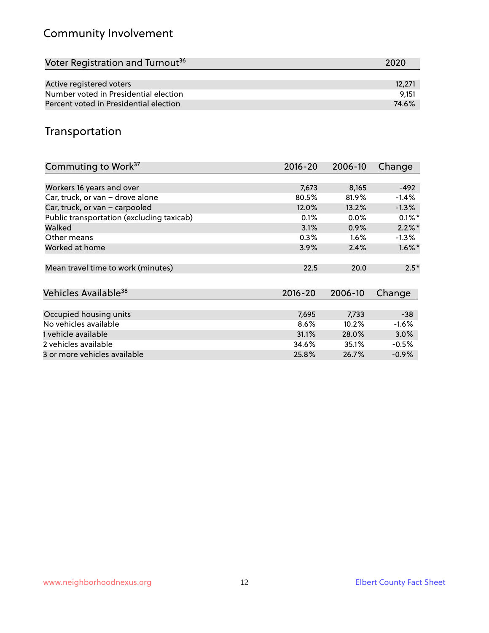## Community Involvement

| Voter Registration and Turnout <sup>36</sup> | 2020   |
|----------------------------------------------|--------|
|                                              |        |
| Active registered voters                     | 12,271 |
| Number voted in Presidential election        | 9.151  |
| Percent voted in Presidential election       | 74.6%  |

#### Transportation

| Commuting to Work <sup>37</sup>           | 2016-20     | 2006-10 | Change    |
|-------------------------------------------|-------------|---------|-----------|
|                                           |             |         |           |
| Workers 16 years and over                 | 7,673       | 8,165   | $-492$    |
| Car, truck, or van - drove alone          | 80.5%       | 81.9%   | $-1.4%$   |
| Car, truck, or van - carpooled            | 12.0%       | 13.2%   | $-1.3%$   |
| Public transportation (excluding taxicab) | 0.1%        | 0.0%    | $0.1\%$ * |
| Walked                                    | 3.1%        | 0.9%    | $2.2\%$ * |
| Other means                               | 0.3%        | 1.6%    | $-1.3\%$  |
| Worked at home                            | 3.9%        | 2.4%    | $1.6\%$ * |
|                                           |             |         |           |
| Mean travel time to work (minutes)        | 22.5        | 20.0    | $2.5*$    |
|                                           |             |         |           |
| Vehicles Available <sup>38</sup>          | $2016 - 20$ | 2006-10 | Change    |
|                                           |             |         |           |
| Occupied housing units                    | 7,695       | 7,733   | $-38$     |
| No vehicles available                     | 8.6%        | 10.2%   | $-1.6%$   |
| 1 vehicle available                       | 31.1%       | 28.0%   | 3.0%      |
| 2 vehicles available                      | 34.6%       | 35.1%   | $-0.5%$   |
| 3 or more vehicles available              | 25.8%       | 26.7%   | $-0.9%$   |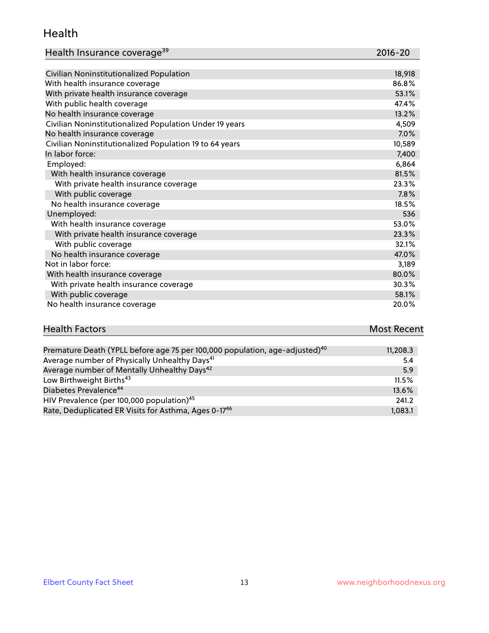#### Health

| Health Insurance coverage <sup>39</sup> | 2016-20 |
|-----------------------------------------|---------|
|-----------------------------------------|---------|

| Civilian Noninstitutionalized Population                | 18,918 |
|---------------------------------------------------------|--------|
| With health insurance coverage                          | 86.8%  |
| With private health insurance coverage                  | 53.1%  |
| With public health coverage                             | 47.4%  |
| No health insurance coverage                            | 13.2%  |
| Civilian Noninstitutionalized Population Under 19 years | 4,509  |
| No health insurance coverage                            | 7.0%   |
| Civilian Noninstitutionalized Population 19 to 64 years | 10,589 |
| In labor force:                                         | 7,400  |
| Employed:                                               | 6,864  |
| With health insurance coverage                          | 81.5%  |
| With private health insurance coverage                  | 23.3%  |
| With public coverage                                    | 7.8%   |
| No health insurance coverage                            | 18.5%  |
| Unemployed:                                             | 536    |
| With health insurance coverage                          | 53.0%  |
| With private health insurance coverage                  | 23.3%  |
| With public coverage                                    | 32.1%  |
| No health insurance coverage                            | 47.0%  |
| Not in labor force:                                     | 3,189  |
| With health insurance coverage                          | 80.0%  |
| With private health insurance coverage                  | 30.3%  |
| With public coverage                                    | 58.1%  |
| No health insurance coverage                            | 20.0%  |

# **Health Factors Most Recent** And The Control of the Control of The Control of The Control of The Control of The Control of The Control of The Control of The Control of The Control of The Control of The Control of The Contr

| Premature Death (YPLL before age 75 per 100,000 population, age-adjusted) <sup>40</sup> | 11,208.3 |
|-----------------------------------------------------------------------------------------|----------|
| Average number of Physically Unhealthy Days <sup>41</sup>                               | 5.4      |
| Average number of Mentally Unhealthy Days <sup>42</sup>                                 | 5.9      |
| Low Birthweight Births <sup>43</sup>                                                    | 11.5%    |
| Diabetes Prevalence <sup>44</sup>                                                       | 13.6%    |
| HIV Prevalence (per 100,000 population) <sup>45</sup>                                   | 241.2    |
| Rate, Deduplicated ER Visits for Asthma, Ages 0-17 <sup>46</sup>                        | 1.083.1  |